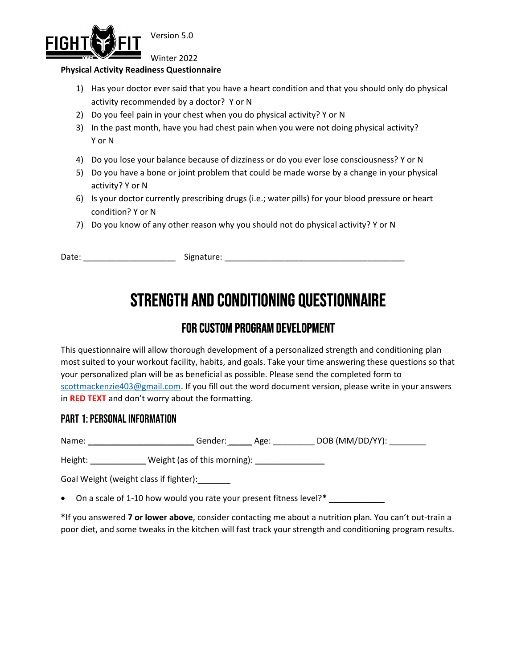

Version 5.0

Winter 2022

#### Physical Activity Readiness Questionnaire

- 1) Has your doctor ever said that you have a heart condition and that you should only do physical activity recommended by a doctor? Y or N
- 2) Do you feel pain in your chest when you do physical activity? Y or N
- 3) In the past month, have you had chest pain when you were not doing physical activity? Y or N
- 4) Do you lose your balance because of dizziness or do you ever lose consciousness? Y or N
- 5) Do you have a bone or joint problem that could be made worse by a change in your physical activity? Y or N
- 6) Is your doctor currently prescribing drugs (i.e.; water pills) for your blood pressure or heart condition? Y or N
- 7) Do you know of any other reason why you should not do physical activity? Y or N

Date: \_\_\_\_\_\_\_\_\_\_\_\_\_\_\_\_\_\_\_\_\_\_\_\_\_\_\_\_\_\_\_\_\_\_\_ Signature: \_\_\_\_\_\_\_\_\_\_\_\_\_\_\_\_\_\_\_\_\_\_\_\_\_\_\_\_

# Strength and conditioning Questionnaire

## For custom program development

This questionnaire will allow thorough development of a personalized strength and conditioning plan most suited to your workout facility, habits, and goals. Take your time answering these questions so that your personalized plan will be as beneficial as possible. Please send the completed form to scottmackenzie403@gmail.com. If you fill out the word document version, please write in your answers in RED TEXT and don't worry about the formatting.

#### PART 1: Personal INFORMATION

Name: \_\_\_\_\_\_\_\_\_\_\_\_\_\_\_\_\_\_\_\_\_\_\_\_\_\_\_\_\_\_\_\_\_Gender: \_\_\_\_\_\_\_\_ Age: \_\_\_\_\_\_\_\_\_\_ DOB (MM/DD/YY):

Height: \_\_\_\_\_\_\_\_\_\_\_\_\_\_ Weight (as of this morning): \_\_\_\_\_\_\_\_\_\_\_\_\_\_\_\_\_\_\_\_\_\_\_\_\_\_\_\_

Goal Weight (weight class if fighter):\_\_\_\_\_\_\_

 $\bullet$  On a scale of 1-10 how would you rate your present fitness level?\*

\*If you answered 7 or lower above, consider contacting me about a nutrition plan. You can't out-train a poor diet, and some tweaks in the kitchen will fast track your strength and conditioning program results.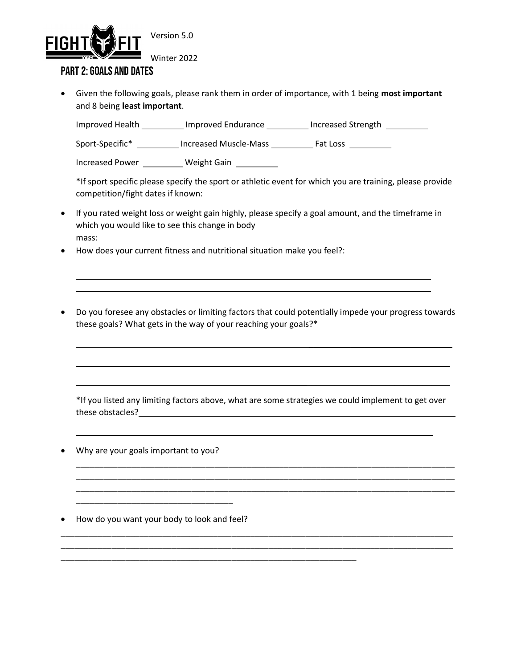

Winter 2022

#### PART 2: GOALS and dates

 $\overline{a}$  $\overline{a}$ 

 $\overline{a}$ 

Given the following goals, please rank them in order of importance, with 1 being most important and 8 being least important.

Improved Health \_\_\_\_\_\_\_\_\_\_ Improved Endurance \_\_\_\_\_\_\_\_\_ Increased Strength \_\_\_\_\_\_\_\_\_

Sport-Specific\* \_\_\_\_\_\_\_\_\_ Increased Muscle-Mass \_\_\_\_\_\_\_\_\_\_ Fat Loss \_\_\_\_\_\_\_\_\_\_

Increased Power \_\_\_\_\_\_\_\_\_\_ Weight Gain \_\_\_\_\_\_\_\_\_\_

\*If sport specific please specify the sport or athletic event for which you are training, please provide competition/fight dates if known:

- If you rated weight loss or weight gain highly, please specify a goal amount, and the timeframe in which you would like to see this change in body mass:
- How does your current fitness and nutritional situation make you feel?:
- Do you foresee any obstacles or limiting factors that could potentially impede your progress towards these goals? What gets in the way of your reaching your goals?\*

 $\mathcal{L}_\text{max}$  , and the contract of the contract of the contract of the contract of the contract of the contract of the contract of the contract of the contract of the contract of the contract of the contract of the contr

 $\frac{1}{2}$  ,  $\frac{1}{2}$  ,  $\frac{1}{2}$  ,  $\frac{1}{2}$  ,  $\frac{1}{2}$  ,  $\frac{1}{2}$  ,  $\frac{1}{2}$  ,  $\frac{1}{2}$  ,  $\frac{1}{2}$  ,  $\frac{1}{2}$  ,  $\frac{1}{2}$  ,  $\frac{1}{2}$  ,  $\frac{1}{2}$  ,  $\frac{1}{2}$  ,  $\frac{1}{2}$  ,  $\frac{1}{2}$  ,  $\frac{1}{2}$  ,  $\frac{1}{2}$  ,  $\frac{1$ 

 $\mathcal{L}_\text{max}$  , and the contract of the contract of the contract of the contract of the contract of the contract of the contract of the contract of the contract of the contract of the contract of the contract of the contr

\*If you listed any limiting factors above, what are some strategies we could implement to get over these obstacles?

\_\_\_\_\_\_\_\_\_\_\_\_\_\_\_\_\_\_\_\_\_\_\_\_\_\_\_\_\_\_\_\_\_\_\_\_\_\_\_\_\_\_\_\_\_\_\_\_\_\_\_\_\_\_\_\_\_\_\_\_\_\_\_\_\_\_\_\_\_\_\_\_\_\_\_\_\_\_\_\_\_\_ \_\_\_\_\_\_\_\_\_\_\_\_\_\_\_\_\_\_\_\_\_\_\_\_\_\_\_\_\_\_\_\_\_\_\_\_\_\_\_\_\_\_\_\_\_\_\_\_\_\_\_\_\_\_\_\_\_\_\_\_\_\_\_\_\_\_\_\_\_\_\_\_\_\_\_\_\_\_\_\_\_\_ \_\_\_\_\_\_\_\_\_\_\_\_\_\_\_\_\_\_\_\_\_\_\_\_\_\_\_\_\_\_\_\_\_\_\_\_\_\_\_\_\_\_\_\_\_\_\_\_\_\_\_\_\_\_\_\_\_\_\_\_\_\_\_\_\_\_\_\_\_\_\_\_\_\_\_\_\_\_\_\_\_\_

\_\_\_\_\_\_\_\_\_\_\_\_\_\_\_\_\_\_\_\_\_\_\_\_\_\_\_\_\_\_\_\_\_\_\_\_\_\_\_\_\_\_\_\_\_\_\_\_\_\_\_\_\_\_\_\_\_\_\_\_\_\_\_\_\_\_\_\_\_\_\_\_\_\_\_\_\_\_\_\_\_\_\_\_\_ \_\_\_\_\_\_\_\_\_\_\_\_\_\_\_\_\_\_\_\_\_\_\_\_\_\_\_\_\_\_\_\_\_\_\_\_\_\_\_\_\_\_\_\_\_\_\_\_\_\_\_\_\_\_\_\_\_\_\_\_\_\_\_\_\_\_\_\_\_\_\_\_\_\_\_\_\_\_\_\_\_\_\_\_\_

\_\_\_\_\_\_\_\_\_\_\_\_\_\_\_\_\_\_\_\_\_\_\_\_\_\_\_\_\_\_\_\_\_\_\_\_\_\_\_\_\_\_\_\_\_\_\_\_\_\_\_\_\_\_\_\_\_\_\_\_\_\_\_\_

Why are your goals important to you?

How do you want your body to look and feel?

\_\_\_\_\_\_\_\_\_\_\_\_\_\_\_\_\_\_\_\_\_\_\_\_\_\_\_\_\_\_\_\_\_\_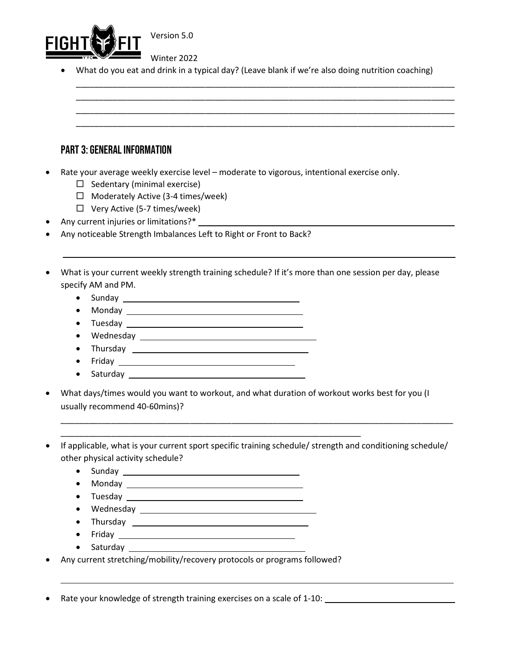

Winter 2022

What do you eat and drink in a typical day? (Leave blank if we're also doing nutrition coaching)

\_\_\_\_\_\_\_\_\_\_\_\_\_\_\_\_\_\_\_\_\_\_\_\_\_\_\_\_\_\_\_\_\_\_\_\_\_\_\_\_\_\_\_\_\_\_\_\_\_\_\_\_\_\_\_\_\_\_\_\_\_\_\_\_\_\_\_\_\_\_\_\_\_\_\_\_\_\_\_\_\_\_ \_\_\_\_\_\_\_\_\_\_\_\_\_\_\_\_\_\_\_\_\_\_\_\_\_\_\_\_\_\_\_\_\_\_\_\_\_\_\_\_\_\_\_\_\_\_\_\_\_\_\_\_\_\_\_\_\_\_\_\_\_\_\_\_\_\_\_\_\_\_\_\_\_\_\_\_\_\_\_\_\_\_ \_\_\_\_\_\_\_\_\_\_\_\_\_\_\_\_\_\_\_\_\_\_\_\_\_\_\_\_\_\_\_\_\_\_\_\_\_\_\_\_\_\_\_\_\_\_\_\_\_\_\_\_\_\_\_\_\_\_\_\_\_\_\_\_\_\_\_\_\_\_\_\_\_\_\_\_\_\_\_\_\_\_ \_\_\_\_\_\_\_\_\_\_\_\_\_\_\_\_\_\_\_\_\_\_\_\_\_\_\_\_\_\_\_\_\_\_\_\_\_\_\_\_\_\_\_\_\_\_\_\_\_\_\_\_\_\_\_\_\_\_\_\_\_\_\_\_\_\_\_\_\_\_\_\_\_\_\_\_\_\_\_\_\_\_

#### PART 3: general INFORMATION

- Rate your average weekly exercise level moderate to vigorous, intentional exercise only.
	- $\Box$  Sedentary (minimal exercise)
	- $\Box$  Moderately Active (3-4 times/week)
	- $\Box$  Very Active (5-7 times/week)
- Any current injuries or limitations?\*
- Any noticeable Strength Imbalances Left to Right or Front to Back?
- What is your current weekly strength training schedule? If it's more than one session per day, please specify AM and PM.
	- Sunday

l.

- Monday
- Tuesday
- Wednesday 2008 2008 2008 2010 2010 2010 2011 2012 2014 2016 2017 2018 2019 201
- Thursday **Example 2018**
- Friday <u>Canadian American State of Bander and Bander and Bander and Bander and Bander and Bander and Bander and Bander and Bander and Bander and Bander and Bander and Bander and Bander and Bander and Bander and Bander an</u>
- Saturday
- What days/times would you want to workout, and what duration of workout works best for you (I usually recommend 40-60mins)?

\_\_\_\_\_\_\_\_\_\_\_\_\_\_\_\_\_\_\_\_\_\_\_\_\_\_\_\_\_\_\_\_\_\_\_\_\_\_\_\_\_\_\_\_\_\_\_\_\_\_\_\_\_\_\_\_\_\_\_\_\_\_\_\_\_

 If applicable, what is your current sport specific training schedule/ strength and conditioning schedule/ other physical activity schedule?

\_\_\_\_\_\_\_\_\_\_\_\_\_\_\_\_\_\_\_\_\_\_\_\_\_\_\_\_\_\_\_\_\_\_\_\_\_\_\_\_\_\_\_\_\_\_\_\_\_\_\_\_\_\_\_\_\_\_\_\_\_\_\_\_\_\_\_\_\_\_\_\_\_\_\_\_\_\_\_\_\_\_\_\_\_

- Sunday
- Monday <u>Dental Bander and Bander and Bander and Bander and Bander and Bander and Bander and Bander and Bander and Bander and Bander and Bander and Bander and Bander and Bander and Bander and Bander and Bander and Bander </u>
- Tuesday **Exercise Service Service Service Service Service Service Service Service Service Service Service Service Service Service Service Service Service Service Service Service Service Service Service Service Service Se**
- Wednesday **Exercise Service Service Service Service Service Service Service Service Service Service Service Service Service Service Service Service Service Service Service Service Service Service Service Service Service**
- Thursday
- Friday
- Saturday **Executive State Set and Set and State State State State State State State State State State State State State State State State State State State State State State State State State State State State State Stat**

 $\overline{a}$ 

Any current stretching/mobility/recovery protocols or programs followed?

Rate your knowledge of strength training exercises on a scale of 1-10: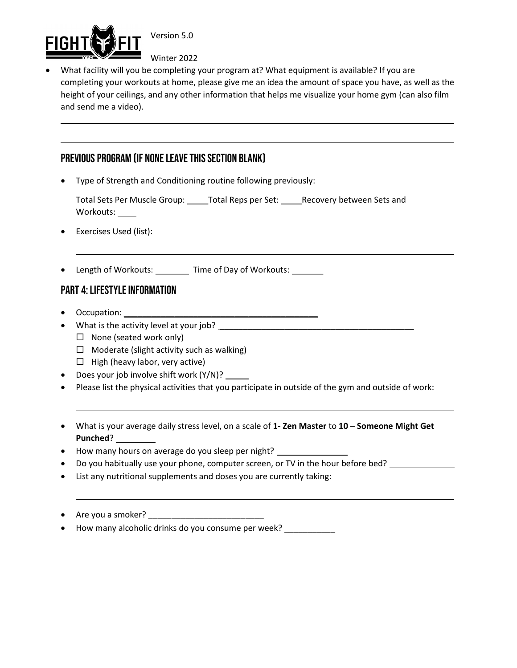

 $\overline{a}$ 

Version 5.0

Winter 2022

 What facility will you be completing your program at? What equipment is available? If you are completing your workouts at home, please give me an idea the amount of space you have, as well as the height of your ceilings, and any other information that helps me visualize your home gym (can also film and send me a video).

### PREVIOUS PROGRAM (IF NONE LEAVE THIS SECTION BLANK)

Type of Strength and Conditioning routine following previously:

Total Sets Per Muscle Group: Total Reps per Set: Recovery between Sets and Workouts: \_\_\_\_\_

- Exercises Used (list):
- Length of Workouts: Time of Day of Workouts:

#### PART 4: LIFESTYLE INFORMATION

 $\bullet$  Occupation:  $\_\_$ 

 $\overline{a}$ 

 $\overline{\phantom{a}}$ 

 $\overline{a}$ 

- What is the activity level at your job? \_\_\_\_\_\_\_\_\_\_\_\_\_\_\_\_\_\_\_\_\_\_\_\_\_\_\_\_\_\_\_\_\_\_\_\_\_\_\_\_\_\_
	- $\Box$  None (seated work only)
	- $\Box$  Moderate (slight activity such as walking)
	- $\Box$  High (heavy labor, very active)
- Does your job involve shift work (Y/N)?
- Please list the physical activities that you participate in outside of the gym and outside of work:
- What is your average daily stress level, on a scale of 1- Zen Master to 10 Someone Might Get Punched?
- How many hours on average do you sleep per night? \_\_\_\_\_\_\_\_\_\_\_\_\_\_\_\_\_\_\_\_\_\_\_\_\_\_\_\_
- Do you habitually use your phone, computer screen, or TV in the hour before bed?
- List any nutritional supplements and doses you are currently taking:
- Are you a smoker? \_\_\_\_\_\_\_\_\_\_\_\_\_\_\_\_\_\_\_\_\_\_\_\_\_
- How many alcoholic drinks do you consume per week? \_\_\_\_\_\_\_\_\_\_\_